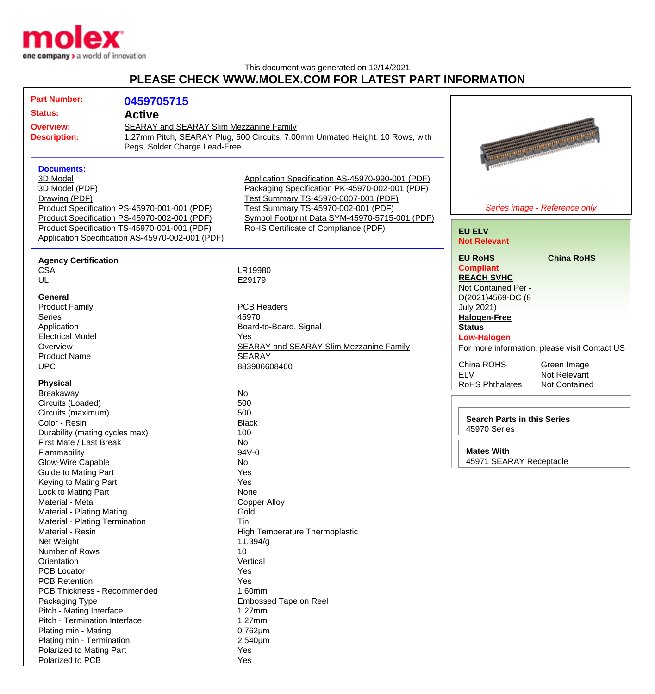

## This document was generated on 12/14/2021 **PLEASE CHECK WWW.MOLEX.COM FOR LATEST PART INFORMATION**

| <b>Part Number:</b>                                                                                                                             | 0459705715                                   |                                                  |                                                |
|-------------------------------------------------------------------------------------------------------------------------------------------------|----------------------------------------------|--------------------------------------------------|------------------------------------------------|
| <b>Status:</b>                                                                                                                                  | <b>Active</b>                                |                                                  |                                                |
| <b>Overview:</b>                                                                                                                                |                                              |                                                  |                                                |
| SEARAY and SEARAY Slim Mezzanine Family<br>1.27mm Pitch, SEARAY Plug, 500 Circuits, 7.00mm Unmated Height, 10 Rows, with<br><b>Description:</b> |                                              |                                                  |                                                |
|                                                                                                                                                 | Pegs, Solder Charge Lead-Free                |                                                  |                                                |
|                                                                                                                                                 |                                              |                                                  |                                                |
| <b>Documents:</b>                                                                                                                               |                                              |                                                  |                                                |
| 3D Model                                                                                                                                        |                                              | Application Specification AS-45970-990-001 (PDF) |                                                |
| 3D Model (PDF)                                                                                                                                  |                                              | Packaging Specification PK-45970-002-001 (PDF)   |                                                |
| Drawing (PDF)                                                                                                                                   |                                              | Test Summary TS-45970-0007-001 (PDF)             |                                                |
|                                                                                                                                                 | Product Specification PS-45970-001-001 (PDF) | Test Summary TS-45970-002-001 (PDF)              | Series image - Reference only                  |
|                                                                                                                                                 | Product Specification PS-45970-002-001 (PDF) | Symbol Footprint Data SYM-45970-5715-001 (PDF)   |                                                |
| Product Specification TS-45970-001-001 (PDF)                                                                                                    |                                              | RoHS Certificate of Compliance (PDF)             | <b>EU ELV</b>                                  |
| Application Specification AS-45970-002-001 (PDF)                                                                                                |                                              |                                                  | <b>Not Relevant</b>                            |
|                                                                                                                                                 |                                              |                                                  |                                                |
| <b>Agency Certification</b>                                                                                                                     |                                              |                                                  | <b>EU RoHS</b><br><b>China RoHS</b>            |
| <b>CSA</b>                                                                                                                                      |                                              | LR19980                                          | <b>Compliant</b>                               |
| UL                                                                                                                                              |                                              | E29179                                           | <b>REACH SVHC</b>                              |
|                                                                                                                                                 |                                              |                                                  | Not Contained Per -                            |
| <b>General</b>                                                                                                                                  |                                              | <b>PCB Headers</b>                               | D(2021)4569-DC (8                              |
| <b>Product Family</b><br><b>Series</b>                                                                                                          |                                              | 45970                                            | <b>July 2021)</b><br><b>Halogen-Free</b>       |
| Application                                                                                                                                     |                                              | Board-to-Board, Signal                           | <b>Status</b>                                  |
| <b>Electrical Model</b>                                                                                                                         |                                              | Yes                                              | <b>Low-Halogen</b>                             |
| Overview                                                                                                                                        |                                              | <b>SEARAY and SEARAY Slim Mezzanine Family</b>   | For more information, please visit Contact US  |
| <b>Product Name</b>                                                                                                                             |                                              | <b>SEARAY</b>                                    |                                                |
| <b>UPC</b>                                                                                                                                      |                                              | 883906608460                                     | China ROHS<br>Green Image                      |
|                                                                                                                                                 |                                              |                                                  | <b>ELV</b><br>Not Relevant                     |
| <b>Physical</b>                                                                                                                                 |                                              |                                                  | <b>RoHS Phthalates</b><br><b>Not Contained</b> |
| Breakaway                                                                                                                                       |                                              | <b>No</b>                                        |                                                |
| Circuits (Loaded)                                                                                                                               |                                              | 500                                              |                                                |
| Circuits (maximum)                                                                                                                              |                                              | 500                                              | <b>Search Parts in this Series</b>             |
| Color - Resin                                                                                                                                   |                                              | <b>Black</b>                                     | 45970 Series                                   |
| Durability (mating cycles max)                                                                                                                  |                                              | 100<br>No                                        |                                                |
| First Mate / Last Break<br>Flammability                                                                                                         |                                              | 94V-0                                            | <b>Mates With</b>                              |
| Glow-Wire Capable                                                                                                                               |                                              | No                                               | 45971 SEARAY Receptacle                        |
| Guide to Mating Part                                                                                                                            |                                              | Yes                                              |                                                |
| Keying to Mating Part                                                                                                                           |                                              | Yes                                              |                                                |
| Lock to Mating Part                                                                                                                             |                                              | None                                             |                                                |
| Material - Metal                                                                                                                                |                                              | <b>Copper Alloy</b>                              |                                                |
| Material - Plating Mating                                                                                                                       |                                              | Gold                                             |                                                |
| Material - Plating Termination                                                                                                                  |                                              | Tin                                              |                                                |
| Material - Resin                                                                                                                                |                                              | High Temperature Thermoplastic                   |                                                |
| Net Weight                                                                                                                                      |                                              | 11.394/g                                         |                                                |
| Number of Rows                                                                                                                                  |                                              | 10                                               |                                                |
| Orientation                                                                                                                                     |                                              | Vertical                                         |                                                |
| <b>PCB Locator</b>                                                                                                                              |                                              | Yes                                              |                                                |
| <b>PCB Retention</b>                                                                                                                            |                                              | Yes                                              |                                                |
| PCB Thickness - Recommended                                                                                                                     |                                              | 1.60mm                                           |                                                |
| Packaging Type                                                                                                                                  |                                              | Embossed Tape on Reel                            |                                                |
| Pitch - Mating Interface                                                                                                                        |                                              | 1.27mm                                           |                                                |
| Pitch - Termination Interface                                                                                                                   |                                              | $1.27$ mm                                        |                                                |
| Plating min - Mating                                                                                                                            |                                              | $0.762 \mu m$                                    |                                                |
| Plating min - Termination                                                                                                                       |                                              | $2.540 \mu m$                                    |                                                |
| Polarized to Mating Part                                                                                                                        |                                              | Yes                                              |                                                |
| Polarized to PCB                                                                                                                                |                                              | Yes                                              |                                                |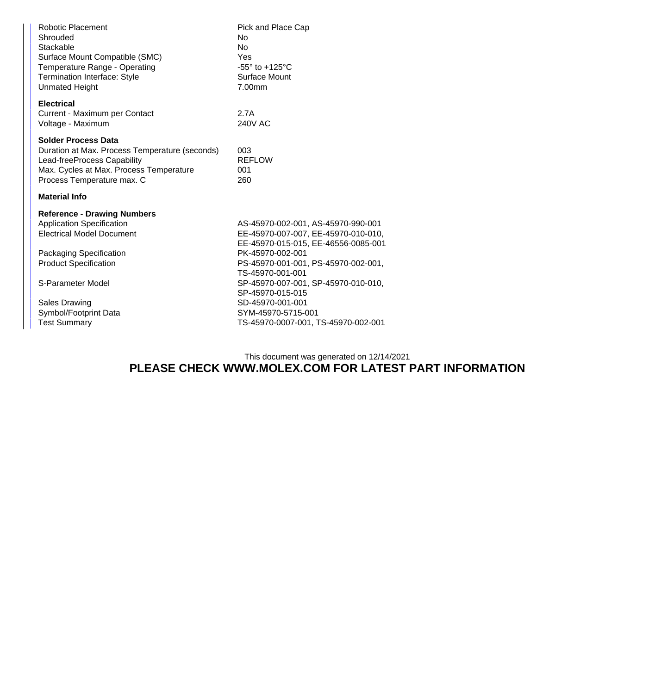| Robotic Placement<br>Shrouded<br>Stackable<br>Surface Mount Compatible (SMC)<br>Temperature Range - Operating<br><b>Termination Interface: Style</b><br><b>Unmated Height</b>                                                                                      | Pick and Place Cap<br><b>No</b><br>N <sub>o</sub><br>Yes<br>$-55^\circ$ to $+125^\circ$ C<br>Surface Mount<br>7.00mm                                                                                                                                                                                                                        |  |  |  |
|--------------------------------------------------------------------------------------------------------------------------------------------------------------------------------------------------------------------------------------------------------------------|---------------------------------------------------------------------------------------------------------------------------------------------------------------------------------------------------------------------------------------------------------------------------------------------------------------------------------------------|--|--|--|
| <b>Electrical</b><br>Current - Maximum per Contact<br>Voltage - Maximum                                                                                                                                                                                            | 2.7A<br><b>240V AC</b>                                                                                                                                                                                                                                                                                                                      |  |  |  |
| <b>Solder Process Data</b><br>Duration at Max. Process Temperature (seconds)<br>Lead-freeProcess Capability<br>Max. Cycles at Max. Process Temperature<br>Process Temperature max. C                                                                               | 003<br><b>REFLOW</b><br>001<br>260                                                                                                                                                                                                                                                                                                          |  |  |  |
| <b>Material Info</b>                                                                                                                                                                                                                                               |                                                                                                                                                                                                                                                                                                                                             |  |  |  |
| <b>Reference - Drawing Numbers</b><br><b>Application Specification</b><br><b>Electrical Model Document</b><br>Packaging Specification<br><b>Product Specification</b><br>S-Parameter Model<br><b>Sales Drawing</b><br>Symbol/Footprint Data<br><b>Test Summary</b> | AS-45970-002-001, AS-45970-990-001<br>EE-45970-007-007, EE-45970-010-010,<br>EE-45970-015-015, EE-46556-0085-001<br>PK-45970-002-001<br>PS-45970-001-001, PS-45970-002-001,<br>TS-45970-001-001<br>SP-45970-007-001, SP-45970-010-010,<br>SP-45970-015-015<br>SD-45970-001-001<br>SYM-45970-5715-001<br>TS-45970-0007-001, TS-45970-002-001 |  |  |  |
|                                                                                                                                                                                                                                                                    |                                                                                                                                                                                                                                                                                                                                             |  |  |  |

## This document was generated on 12/14/2021 **PLEASE CHECK WWW.MOLEX.COM FOR LATEST PART INFORMATION**